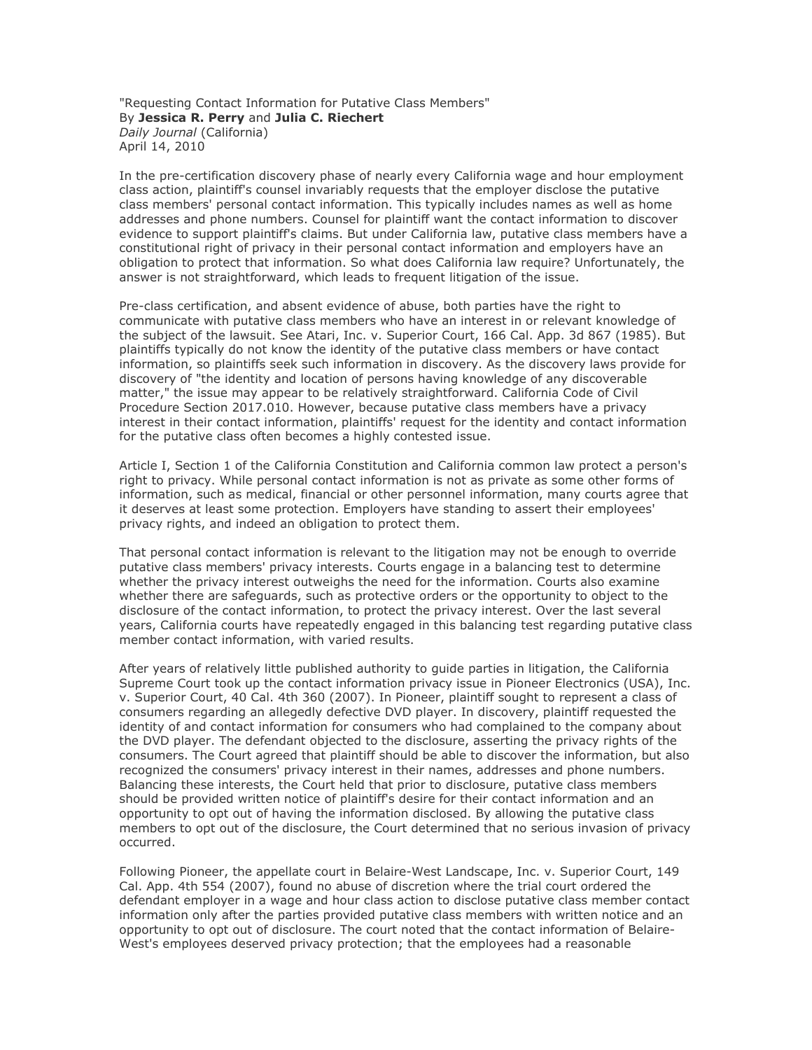"Requesting Contact Information for Putative Class Members" By **Jessica R. Perry** and **Julia C. Riechert** *Daily Journal* (California) April 14, 2010

In the pre-certification discovery phase of nearly every California wage and hour employment class action, plaintiff's counsel invariably requests that the employer disclose the putative class members' personal contact information. This typically includes names as well as home addresses and phone numbers. Counsel for plaintiff want the contact information to discover evidence to support plaintiff's claims. But under California law, putative class members have a constitutional right of privacy in their personal contact information and employers have an obligation to protect that information. So what does California law require? Unfortunately, the answer is not straightforward, which leads to frequent litigation of the issue.

Pre-class certification, and absent evidence of abuse, both parties have the right to communicate with putative class members who have an interest in or relevant knowledge of the subject of the lawsuit. See Atari, Inc. v. Superior Court, 166 Cal. App. 3d 867 (1985). But plaintiffs typically do not know the identity of the putative class members or have contact information, so plaintiffs seek such information in discovery. As the discovery laws provide for discovery of "the identity and location of persons having knowledge of any discoverable matter," the issue may appear to be relatively straightforward. California Code of Civil Procedure Section 2017.010. However, because putative class members have a privacy interest in their contact information, plaintiffs' request for the identity and contact information for the putative class often becomes a highly contested issue.

Article I, Section 1 of the California Constitution and California common law protect a person's right to privacy. While personal contact information is not as private as some other forms of information, such as medical, financial or other personnel information, many courts agree that it deserves at least some protection. Employers have standing to assert their employees' privacy rights, and indeed an obligation to protect them.

That personal contact information is relevant to the litigation may not be enough to override putative class members' privacy interests. Courts engage in a balancing test to determine whether the privacy interest outweighs the need for the information. Courts also examine whether there are safeguards, such as protective orders or the opportunity to object to the disclosure of the contact information, to protect the privacy interest. Over the last several years, California courts have repeatedly engaged in this balancing test regarding putative class member contact information, with varied results.

After years of relatively little published authority to guide parties in litigation, the California Supreme Court took up the contact information privacy issue in Pioneer Electronics (USA), Inc. v. Superior Court, 40 Cal. 4th 360 (2007). In Pioneer, plaintiff sought to represent a class of consumers regarding an allegedly defective DVD player. In discovery, plaintiff requested the identity of and contact information for consumers who had complained to the company about the DVD player. The defendant objected to the disclosure, asserting the privacy rights of the consumers. The Court agreed that plaintiff should be able to discover the information, but also recognized the consumers' privacy interest in their names, addresses and phone numbers. Balancing these interests, the Court held that prior to disclosure, putative class members should be provided written notice of plaintiff's desire for their contact information and an opportunity to opt out of having the information disclosed. By allowing the putative class members to opt out of the disclosure, the Court determined that no serious invasion of privacy occurred.

Following Pioneer, the appellate court in Belaire-West Landscape, Inc. v. Superior Court, 149 Cal. App. 4th 554 (2007), found no abuse of discretion where the trial court ordered the defendant employer in a wage and hour class action to disclose putative class member contact information only after the parties provided putative class members with written notice and an opportunity to opt out of disclosure. The court noted that the contact information of Belaire-West's employees deserved privacy protection; that the employees had a reasonable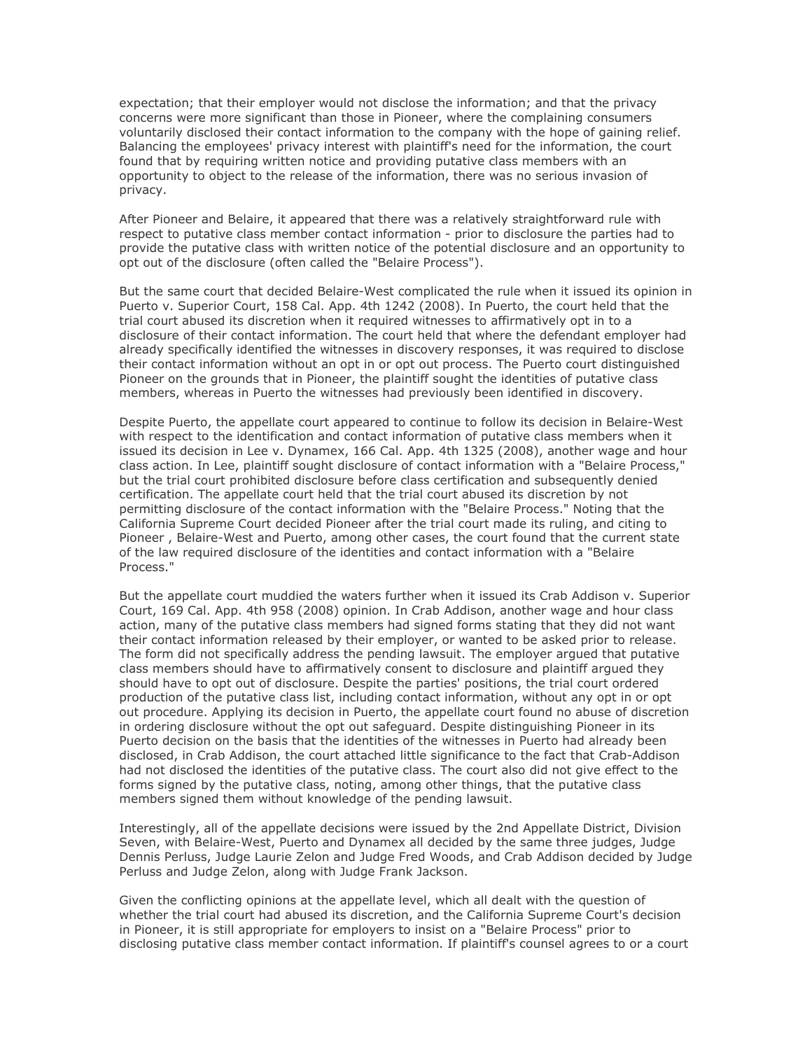expectation; that their employer would not disclose the information; and that the privacy concerns were more significant than those in Pioneer, where the complaining consumers voluntarily disclosed their contact information to the company with the hope of gaining relief. Balancing the employees' privacy interest with plaintiff's need for the information, the court found that by requiring written notice and providing putative class members with an opportunity to object to the release of the information, there was no serious invasion of privacy.

After Pioneer and Belaire, it appeared that there was a relatively straightforward rule with respect to putative class member contact information - prior to disclosure the parties had to provide the putative class with written notice of the potential disclosure and an opportunity to opt out of the disclosure (often called the "Belaire Process").

But the same court that decided Belaire-West complicated the rule when it issued its opinion in Puerto v. Superior Court, 158 Cal. App. 4th 1242 (2008). In Puerto, the court held that the trial court abused its discretion when it required witnesses to affirmatively opt in to a disclosure of their contact information. The court held that where the defendant employer had already specifically identified the witnesses in discovery responses, it was required to disclose their contact information without an opt in or opt out process. The Puerto court distinguished Pioneer on the grounds that in Pioneer, the plaintiff sought the identities of putative class members, whereas in Puerto the witnesses had previously been identified in discovery.

Despite Puerto, the appellate court appeared to continue to follow its decision in Belaire-West with respect to the identification and contact information of putative class members when it issued its decision in Lee v. Dynamex, 166 Cal. App. 4th 1325 (2008), another wage and hour class action. In Lee, plaintiff sought disclosure of contact information with a "Belaire Process," but the trial court prohibited disclosure before class certification and subsequently denied certification. The appellate court held that the trial court abused its discretion by not permitting disclosure of the contact information with the "Belaire Process." Noting that the California Supreme Court decided Pioneer after the trial court made its ruling, and citing to Pioneer , Belaire-West and Puerto, among other cases, the court found that the current state of the law required disclosure of the identities and contact information with a "Belaire Process."

But the appellate court muddied the waters further when it issued its Crab Addison v. Superior Court, 169 Cal. App. 4th 958 (2008) opinion. In Crab Addison, another wage and hour class action, many of the putative class members had signed forms stating that they did not want their contact information released by their employer, or wanted to be asked prior to release. The form did not specifically address the pending lawsuit. The employer argued that putative class members should have to affirmatively consent to disclosure and plaintiff argued they should have to opt out of disclosure. Despite the parties' positions, the trial court ordered production of the putative class list, including contact information, without any opt in or opt out procedure. Applying its decision in Puerto, the appellate court found no abuse of discretion in ordering disclosure without the opt out safeguard. Despite distinguishing Pioneer in its Puerto decision on the basis that the identities of the witnesses in Puerto had already been disclosed, in Crab Addison, the court attached little significance to the fact that Crab-Addison had not disclosed the identities of the putative class. The court also did not give effect to the forms signed by the putative class, noting, among other things, that the putative class members signed them without knowledge of the pending lawsuit.

Interestingly, all of the appellate decisions were issued by the 2nd Appellate District, Division Seven, with Belaire-West, Puerto and Dynamex all decided by the same three judges, Judge Dennis Perluss, Judge Laurie Zelon and Judge Fred Woods, and Crab Addison decided by Judge Perluss and Judge Zelon, along with Judge Frank Jackson.

Given the conflicting opinions at the appellate level, which all dealt with the question of whether the trial court had abused its discretion, and the California Supreme Court's decision in Pioneer, it is still appropriate for employers to insist on a "Belaire Process" prior to disclosing putative class member contact information. If plaintiff's counsel agrees to or a court